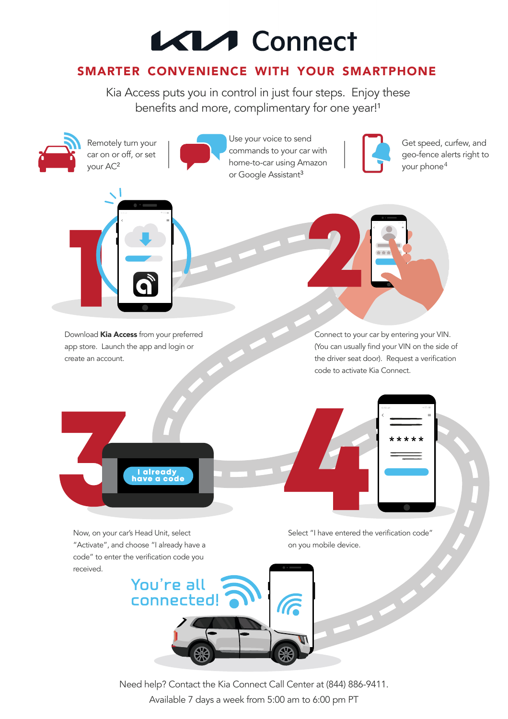## KIA Connect

## **SMARTER CONVENIENCE WITH YOUR SMARTPHONE**

Kia Access puts you in control in just four steps. Enjoy these benefits and more, complimentary for one year!<sup>1</sup>

Use your voice to send



Now, on your car's Head Unit, select "Activate", and choose "I already have a code" to enter the verification code you received.

Remotely turn your



Select "I have entered the verification code" on you mobile device.

Get speed, curfew, and

Need help? Contact the Kia Connect Call Center at (844) 886-9411. Available 7 days a week from 5:00 am to 6:00 pm PT